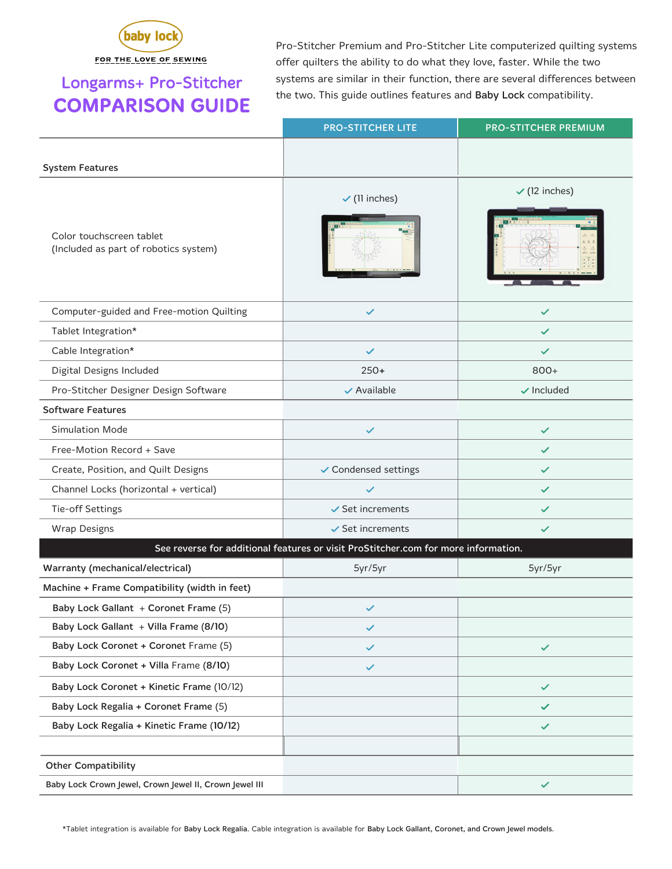

FOR THE LOVE OF SEWING

## Longarms+ Pro-Stitcher COMPARISON GUIDE

Pro-Stitcher Premium and Pro-Stitcher Lite computerized quilting systems offer quilters the ability to do what they love, faster. While the two systems are similar in their function, there are several differences between the two. This guide outlines features and Baby Lock compatibility.

|                                                                                    | <b>PRO-STITCHER LITE</b>    | <b>PRO-STITCHER PREMIUM</b> |  |  |
|------------------------------------------------------------------------------------|-----------------------------|-----------------------------|--|--|
|                                                                                    |                             |                             |  |  |
| <b>System Features</b>                                                             |                             |                             |  |  |
|                                                                                    | $\checkmark$ (11 inches)    | $\checkmark$ (12 inches)    |  |  |
| Color touchscreen tablet<br>(Included as part of robotics system)                  |                             |                             |  |  |
| Computer-guided and Free-motion Quilting                                           | ✓                           | $\checkmark$                |  |  |
| Tablet Integration*                                                                |                             | $\checkmark$                |  |  |
| Cable Integration*                                                                 | $\checkmark$                | $\checkmark$                |  |  |
| Digital Designs Included                                                           | $250+$                      | $800+$                      |  |  |
| Pro-Stitcher Designer Design Software                                              | $\checkmark$ Available      | $\checkmark$ Included       |  |  |
| <b>Software Features</b>                                                           |                             |                             |  |  |
| <b>Simulation Mode</b>                                                             | $\checkmark$                | $\checkmark$                |  |  |
| Free-Motion Record + Save                                                          |                             | $\checkmark$                |  |  |
| Create, Position, and Quilt Designs                                                | ✔ Condensed settings        | $\checkmark$                |  |  |
| Channel Locks (horizontal + vertical)                                              | ✓                           | $\checkmark$                |  |  |
| Tie-off Settings                                                                   | $\checkmark$ Set increments | $\checkmark$                |  |  |
| <b>Wrap Designs</b>                                                                | $\checkmark$ Set increments | $\checkmark$                |  |  |
| See reverse for additional features or visit ProStitcher.com for more information. |                             |                             |  |  |
| <b>Warranty (mechanical/electrical)</b>                                            | 5yr/5yr                     | 5yr/5yr                     |  |  |
| Machine + Frame Compatibility (width in feet)                                      |                             |                             |  |  |
| Baby Lock Gallant + Coronet Frame (5)                                              | ✓                           |                             |  |  |
| Baby Lock Gallant + Villa Frame (8/10)                                             | $\checkmark$                |                             |  |  |
| Baby Lock Coronet + Coronet Frame (5)                                              | $\checkmark$                | $\checkmark$                |  |  |
| Baby Lock Coronet + Villa Frame (8/10)                                             | $\checkmark$                |                             |  |  |
| Baby Lock Coronet + Kinetic Frame (10/12)                                          |                             | $\checkmark$                |  |  |
| Baby Lock Regalia + Coronet Frame (5)                                              |                             | $\checkmark$                |  |  |
| Baby Lock Regalia + Kinetic Frame (10/12)                                          |                             | $\checkmark$                |  |  |
|                                                                                    |                             |                             |  |  |
| <b>Other Compatibility</b>                                                         |                             |                             |  |  |
| Baby Lock Crown Jewel, Crown Jewel II, Crown Jewel III                             |                             | $\checkmark$                |  |  |

\*Tablet integration is available for Baby Lock Regalia. Cable integration is available for Baby Lock Gallant, Coronet, and Crown Jewel models.